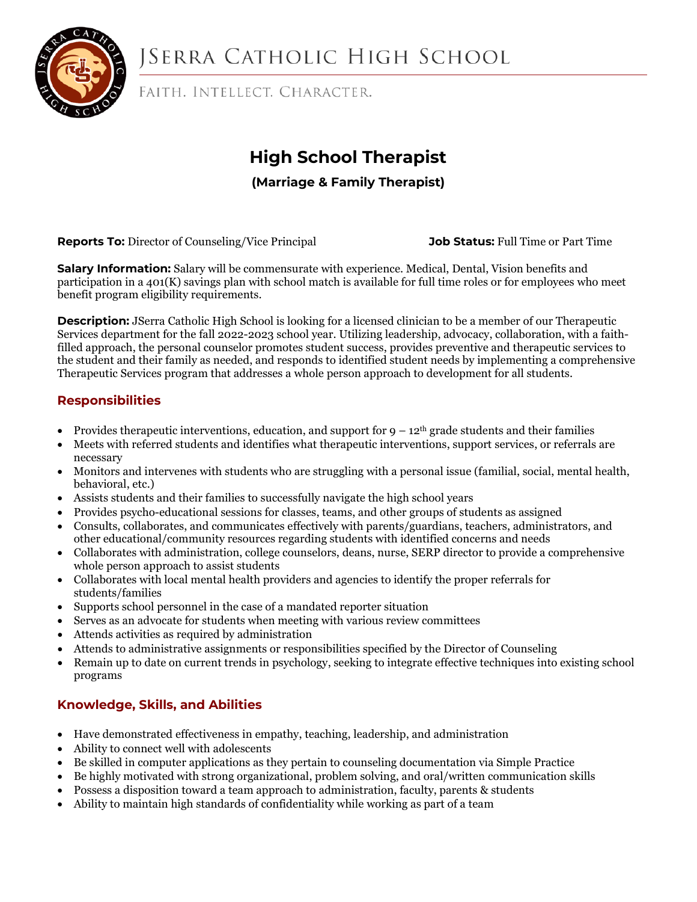

# **JSERRA CATHOLIC HIGH SCHOOL**

FAITH. INTELLECT. CHARACTER.

## **High School Therapist**

## **(Marriage & Family Therapist)**

**Reports To:** Director of Counseling/Vice Principal **Job Status:** Full Time or Part Time

**Salary Information:** Salary will be commensurate with experience. Medical, Dental, Vision benefits and participation in a 401(K) savings plan with school match is available for full time roles or for employees who meet benefit program eligibility requirements.

**Description:** JSerra Catholic High School is looking for a licensed clinician to be a member of our Therapeutic Services department for the fall 2022-2023 school year. Utilizing leadership, advocacy, collaboration, with a faithfilled approach, the personal counselor promotes student success, provides preventive and therapeutic services to the student and their family as needed, and responds to identified student needs by implementing a comprehensive Therapeutic Services program that addresses a whole person approach to development for all students.

## **Responsibilities**

- Provides therapeutic interventions, education, and support for  $9 12<sup>th</sup>$  grade students and their families
- Meets with referred students and identifies what therapeutic interventions, support services, or referrals are necessary
- Monitors and intervenes with students who are struggling with a personal issue (familial, social, mental health, behavioral, etc.)
- Assists students and their families to successfully navigate the high school years
- Provides psycho-educational sessions for classes, teams, and other groups of students as assigned
- Consults, collaborates, and communicates effectively with parents/guardians, teachers, administrators, and other educational/community resources regarding students with identified concerns and needs
- Collaborates with administration, college counselors, deans, nurse, SERP director to provide a comprehensive whole person approach to assist students
- Collaborates with local mental health providers and agencies to identify the proper referrals for students/families
- Supports school personnel in the case of a mandated reporter situation
- Serves as an advocate for students when meeting with various review committees
- Attends activities as required by administration
- Attends to administrative assignments or responsibilities specified by the Director of Counseling
- Remain up to date on current trends in psychology, seeking to integrate effective techniques into existing school programs

## **Knowledge, Skills, and Abilities**

- Have demonstrated effectiveness in empathy, teaching, leadership, and administration
- Ability to connect well with adolescents
- Be skilled in computer applications as they pertain to counseling documentation via Simple Practice
- Be highly motivated with strong organizational, problem solving, and oral/written communication skills
- Possess a disposition toward a team approach to administration, faculty, parents & students
- Ability to maintain high standards of confidentiality while working as part of a team